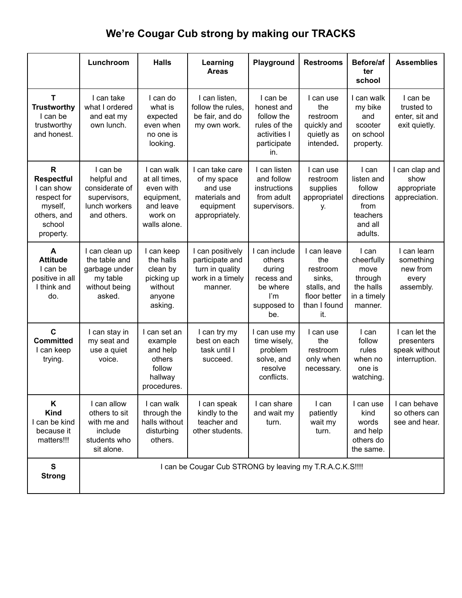## **We're Cougar Cub strong by making our TRACKS**

|                                                                                                      | Lunchroom                                                                                 | <b>Halls</b>                                                                                   | Learning<br><b>Areas</b>                                                                  | Playground                                                                                 | <b>Restrooms</b>                                                                               | Before/af<br>ter<br>school                                                            | <b>Assemblies</b>                                             |
|------------------------------------------------------------------------------------------------------|-------------------------------------------------------------------------------------------|------------------------------------------------------------------------------------------------|-------------------------------------------------------------------------------------------|--------------------------------------------------------------------------------------------|------------------------------------------------------------------------------------------------|---------------------------------------------------------------------------------------|---------------------------------------------------------------|
| Т<br><b>Trustworthy</b><br>I can be<br>trustworthy<br>and honest.                                    | I can take<br>what I ordered<br>and eat my<br>own lunch.                                  | I can do<br>what is<br>expected<br>even when<br>no one is<br>looking.                          | I can listen,<br>follow the rules,<br>be fair, and do<br>my own work.                     | I can be<br>honest and<br>follow the<br>rules of the<br>activities I<br>participate<br>in. | I can use<br>the<br>restroom<br>quickly and<br>quietly as<br>intended.                         | I can walk<br>my bike<br>and<br>scooter<br>on school<br>property.                     | I can be<br>trusted to<br>enter, sit and<br>exit quietly.     |
| R<br><b>Respectful</b><br>I can show<br>respect for<br>myself,<br>others, and<br>school<br>property. | I can be<br>helpful and<br>considerate of<br>supervisors,<br>lunch workers<br>and others. | I can walk<br>at all times,<br>even with<br>equipment,<br>and leave<br>work on<br>walls alone. | I can take care<br>of my space<br>and use<br>materials and<br>equipment<br>appropriately. | I can listen<br>and follow<br>instructions<br>from adult<br>supervisors.                   | I can use<br>restroom<br>supplies<br>appropriatel<br>у.                                        | I can<br>listen and<br>follow<br>directions<br>from<br>teachers<br>and all<br>adults. | I can clap and<br>show<br>appropriate<br>appreciation.        |
| A<br><b>Attitude</b><br>I can be<br>positive in all<br>I think and<br>do.                            | I can clean up<br>the table and<br>garbage under<br>my table<br>without being<br>asked.   | I can keep<br>the halls<br>clean by<br>picking up<br>without<br>anyone<br>asking.              | I can positively<br>participate and<br>turn in quality<br>work in a timely<br>manner.     | I can include<br>others<br>during<br>recess and<br>be where<br>I'm<br>supposed to<br>be.   | I can leave<br>the<br>restroom<br>sinks,<br>stalls, and<br>floor better<br>than I found<br>it. | I can<br>cheerfully<br>move<br>through<br>the halls<br>in a timely<br>manner.         | I can learn<br>something<br>new from<br>every<br>assembly.    |
| $\mathbf c$<br><b>Committed</b><br>I can keep<br>trying.                                             | I can stay in<br>my seat and<br>use a quiet<br>voice.                                     | I can set an<br>example<br>and help<br>others<br>follow<br>hallway<br>procedures.              | I can try my<br>best on each<br>task until I<br>succeed.                                  | I can use my<br>time wisely,<br>problem<br>solve, and<br>resolve<br>conflicts.             | I can use<br>the<br>restroom<br>only when<br>necessary.                                        | I can<br>follow<br>rules<br>when no<br>one is<br>watching.                            | I can let the<br>presenters<br>speak without<br>interruption. |
| Κ<br><b>Kind</b><br>can be kind<br>because it<br>matters!!!                                          | I can allow<br>others to sit<br>with me and<br>include<br>students who<br>sit alone.      | I can walk<br>through the<br>halls without<br>disturbing<br>others.                            | I can speak<br>kindly to the<br>teacher and<br>other students.                            | I can share<br>and wait my<br>turn.                                                        | I can<br>patiently<br>wait my<br>turn.                                                         | I can use<br>kind<br>words<br>and help<br>others do<br>the same.                      | I can behave<br>so others can<br>see and hear.                |
| $\mathbf{s}$<br><b>Strong</b>                                                                        | I can be Cougar Cub STRONG by leaving my T.R.A.C.K.S !!!!                                 |                                                                                                |                                                                                           |                                                                                            |                                                                                                |                                                                                       |                                                               |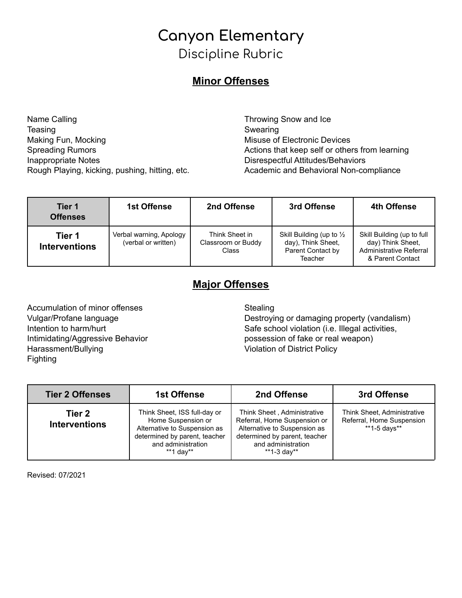## **Canyon Elementary** Discipline Rubric

### **Minor Offenses**

Name Calling **Teasing** Making Fun, Mocking Spreading Rumors Inappropriate Notes Rough Playing, kicking, pushing, hitting, etc.

Throwing Snow and Ice Swearing Misuse of Electronic Devices Actions that keep self or others from learning Disrespectful Attitudes/Behaviors Academic and Behavioral Non-compliance

| Tier 1<br><b>Offenses</b>      | <b>1st Offense</b>                             | 2nd Offense                                          | 3rd Offense                                                                               | 4th Offense                                                                                    |
|--------------------------------|------------------------------------------------|------------------------------------------------------|-------------------------------------------------------------------------------------------|------------------------------------------------------------------------------------------------|
| Tier 1<br><b>Interventions</b> | Verbal warning, Apology<br>(verbal or written) | Think Sheet in<br>Classroom or Buddy<br><b>Class</b> | Skill Building (up to $\frac{1}{2}$<br>day), Think Sheet,<br>Parent Contact by<br>Teacher | Skill Building (up to full<br>day) Think Sheet,<br>Administrative Referral<br>& Parent Contact |

### **Major Offenses**

Accumulation of minor offenses Vulgar/Profane language Intention to harm/hurt Intimidating/Aggressive Behavior Harassment/Bullying Fighting

#### **Stealing**

Destroying or damaging property (vandalism) Safe school violation (i.e. Illegal activities, possession of fake or real weapon) Violation of District Policy

| <b>Tier 2 Offenses</b>         | <b>1st Offense</b>                                                                                                                                     | 2nd Offense                                                                                                                                                       | 3rd Offense                                                              |
|--------------------------------|--------------------------------------------------------------------------------------------------------------------------------------------------------|-------------------------------------------------------------------------------------------------------------------------------------------------------------------|--------------------------------------------------------------------------|
| Tier 2<br><b>Interventions</b> | Think Sheet, ISS full-day or<br>Home Suspension or<br>Alternative to Suspension as<br>determined by parent, teacher<br>and administration<br>**1 day** | Think Sheet, Administrative<br>Referral, Home Suspension or<br>Alternative to Suspension as<br>determined by parent, teacher<br>and administration<br>**1-3 day** | Think Sheet, Administrative<br>Referral, Home Suspension<br>**1-5 days** |

Revised: 07/2021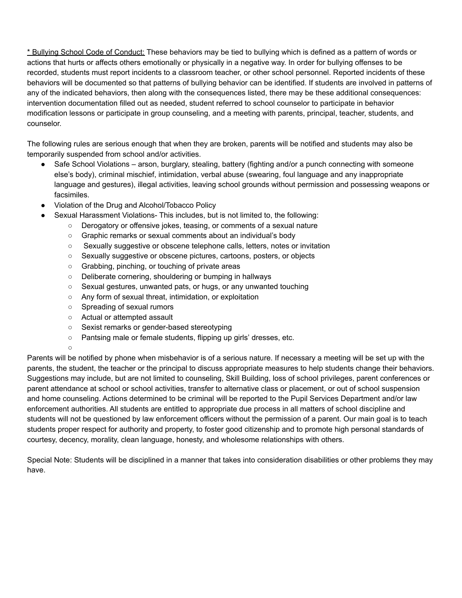\* Bullying School Code of Conduct: These behaviors may be tied to bullying which is defined as a pattern of words or actions that hurts or affects others emotionally or physically in a negative way. In order for bullying offenses to be recorded, students must report incidents to a classroom teacher, or other school personnel. Reported incidents of these behaviors will be documented so that patterns of bullying behavior can be identified. If students are involved in patterns of any of the indicated behaviors, then along with the consequences listed, there may be these additional consequences: intervention documentation filled out as needed, student referred to school counselor to participate in behavior modification lessons or participate in group counseling, and a meeting with parents, principal, teacher, students, and counselor.

The following rules are serious enough that when they are broken, parents will be notified and students may also be temporarily suspended from school and/or activities.

- Safe School Violations arson, burglary, stealing, battery (fighting and/or a punch connecting with someone else's body), criminal mischief, intimidation, verbal abuse (swearing, foul language and any inappropriate language and gestures), illegal activities, leaving school grounds without permission and possessing weapons or facsimiles.
- Violation of the Drug and Alcohol/Tobacco Policy
- Sexual Harassment Violations- This includes, but is not limited to, the following:
	- Derogatory or offensive jokes, teasing, or comments of a sexual nature
	- Graphic remarks or sexual comments about an individual's body
	- Sexually suggestive or obscene telephone calls, letters, notes or invitation
	- Sexually suggestive or obscene pictures, cartoons, posters, or objects
	- Grabbing, pinching, or touching of private areas
	- Deliberate cornering, shouldering or bumping in hallways
	- Sexual gestures, unwanted pats, or hugs, or any unwanted touching
	- Any form of sexual threat, intimidation, or exploitation
	- Spreading of sexual rumors
	- Actual or attempted assault
	- Sexist remarks or gender-based stereotyping
	- Pantsing male or female students, flipping up girls' dresses, etc.

 $\circ$ 

Parents will be notified by phone when misbehavior is of a serious nature. If necessary a meeting will be set up with the parents, the student, the teacher or the principal to discuss appropriate measures to help students change their behaviors. Suggestions may include, but are not limited to counseling, Skill Building, loss of school privileges, parent conferences or parent attendance at school or school activities, transfer to alternative class or placement, or out of school suspension and home counseling. Actions determined to be criminal will be reported to the Pupil Services Department and/or law enforcement authorities. All students are entitled to appropriate due process in all matters of school discipline and students will not be questioned by law enforcement officers without the permission of a parent. Our main goal is to teach students proper respect for authority and property, to foster good citizenship and to promote high personal standards of courtesy, decency, morality, clean language, honesty, and wholesome relationships with others.

Special Note: Students will be disciplined in a manner that takes into consideration disabilities or other problems they may have.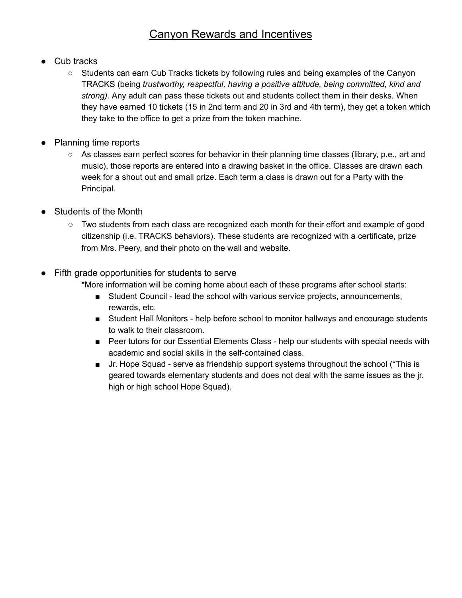## Canyon Rewards and Incentives

- Cub tracks
	- Students can earn Cub Tracks tickets by following rules and being examples of the Canyon TRACKS (being *trustworthy, respectful, having a positive attitude, being committed, kind and strong).* Any adult can pass these tickets out and students collect them in their desks. When they have earned 10 tickets (15 in 2nd term and 20 in 3rd and 4th term), they get a token which they take to the office to get a prize from the token machine.
- Planning time reports
	- As classes earn perfect scores for behavior in their planning time classes (library, p.e., art and music), those reports are entered into a drawing basket in the office. Classes are drawn each week for a shout out and small prize. Each term a class is drawn out for a Party with the Principal.
- Students of the Month
	- Two students from each class are recognized each month for their effort and example of good citizenship (i.e. TRACKS behaviors). These students are recognized with a certificate, prize from Mrs. Peery, and their photo on the wall and website.
- Fifth grade opportunities for students to serve
	- \*More information will be coming home about each of these programs after school starts:
		- Student Council lead the school with various service projects, announcements, rewards, etc.
		- Student Hall Monitors help before school to monitor hallways and encourage students to walk to their classroom.
		- Peer tutors for our Essential Elements Class help our students with special needs with academic and social skills in the self-contained class.
		- Jr. Hope Squad serve as friendship support systems throughout the school (\*This is geared towards elementary students and does not deal with the same issues as the jr. high or high school Hope Squad).